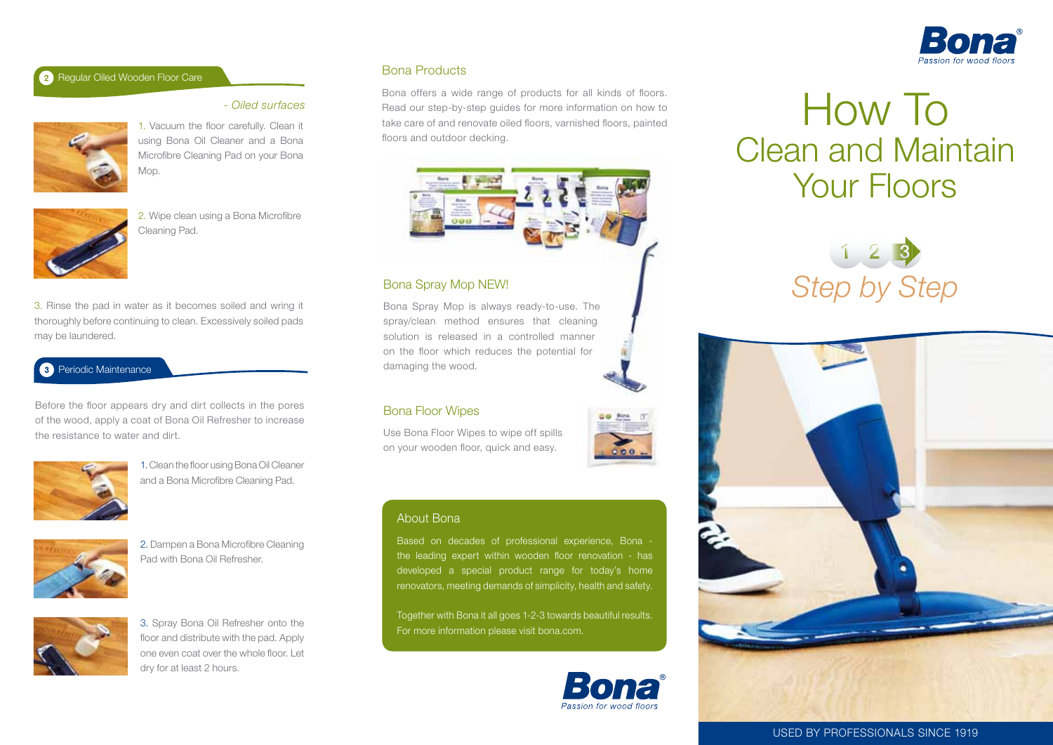

### 2 Regular Oiled Wooden Floor Care

### - *Oiled surfaces*



1. Vacuum the floor carefully. Clean it using Bona Oil Cleaner and a Bona Microfibre Cleaning Pad on your Bona Mop.



2. Wipe clean using a Bona Microfibre Cleaning Pad.

3. Rinse the pad in water as it becomes soiled and wring it thoroughly before continuing to clean. Excessively soiled pads may be laundered.

### **3** Periodic Maintenance

Before the floor appears dry and dirt collects in the pores of the wood, apply a coat of Bona Oil Refresher to increase the resistance to water and dirt.



1. Clean the floor using Bona Oil Cleaner and a Bona Microfibre Cleaning Pad.



2. Dampen a Bona Microfibre Cleaning Pad with Bona Oil Refresher.



3. Spray Bona Oil Refresher onto the floor and distribute with the pad. Apply one even coat over the whole floor. Let dry for at least 2 hours.

### Bona Products

Bona offers a wide range of products for all kinds of floors. Read our step-by-step guides for more information on how to take care of and renovate oiled floors, varnished floors, painted floors and outdoor decking.



### Bona Spray Mop NEW!

Bona Spray Mop is always ready-to-use. The spray/clean method ensures that cleaning solution is released in a controlled manner on the floor which reduces the potential for damaging the wood.

### Bona Floor Wipes

Use Bona Floor Wipes to wipe off spills on your wooden floor, quick and easy.

### About Bona

Based on decades of professional experience, Bona the leading expert within wooden floor renovation - has developed a special product range for today's home renovators, meeting demands of simplicity, health and safety.

Together with Bona it all goes 1-2-3 towards beautiful results. For more information please visit bona.com.



# How To Clean and Maintain Your Floors





### USED BY PROFESSIONALS SINCE 1919